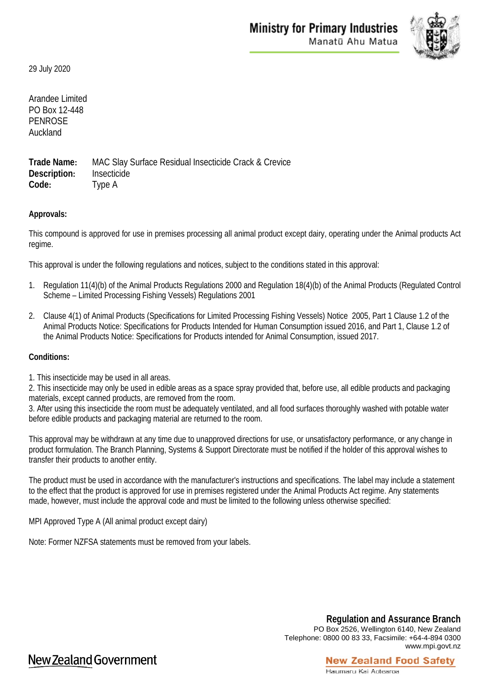

29 July 2020

Arandee Limited PO Box 12-448 PENROSE Auckland

**Trade Name:** MAC Slay Surface Residual Insecticide Crack & Crevice **Description:** Insecticide **Code:** Type A

## **Approvals:**

This compound is approved for use in premises processing all animal product except dairy, operating under the Animal products Act regime.

This approval is under the following regulations and notices, subject to the conditions stated in this approval:

- 1. Regulation 11(4)(b) of the Animal Products Regulations 2000 and Regulation 18(4)(b) of the Animal Products (Regulated Control Scheme – Limited Processing Fishing Vessels) Regulations 2001
- 2. Clause 4(1) of Animal Products (Specifications for Limited Processing Fishing Vessels) Notice 2005, Part 1 Clause 1.2 of the Animal Products Notice: Specifications for Products Intended for Human Consumption issued 2016, and Part 1, Clause 1.2 of the Animal Products Notice: Specifications for Products intended for Animal Consumption, issued 2017.

## **Conditions:**

1. This insecticide may be used in all areas.

2. This insecticide may only be used in edible areas as a space spray provided that, before use, all edible products and packaging materials, except canned products, are removed from the room.

3. After using this insecticide the room must be adequately ventilated, and all food surfaces thoroughly washed with potable water before edible products and packaging material are returned to the room.

This approval may be withdrawn at any time due to unapproved directions for use, or unsatisfactory performance, or any change in product formulation. The Branch Planning, Systems & Support Directorate must be notified if the holder of this approval wishes to transfer their products to another entity.

The product must be used in accordance with the manufacturer's instructions and specifications. The label may include a statement to the effect that the product is approved for use in premises registered under the Animal Products Act regime. Any statements made, however, must include the approval code and must be limited to the following unless otherwise specified:

MPI Approved Type A (All animal product except dairy)

Note: Former NZFSA statements must be removed from your labels.

**Regulation and Assurance Branch** PO Box 2526, Wellington 6140, New Zealand Telephone: 0800 00 83 33, Facsimile: +64-4-894 0300 www.mpi.govt.nz

**New Zealand Food Safety** 

## New Zealand Government

## Haumaru Kai Aotearoa